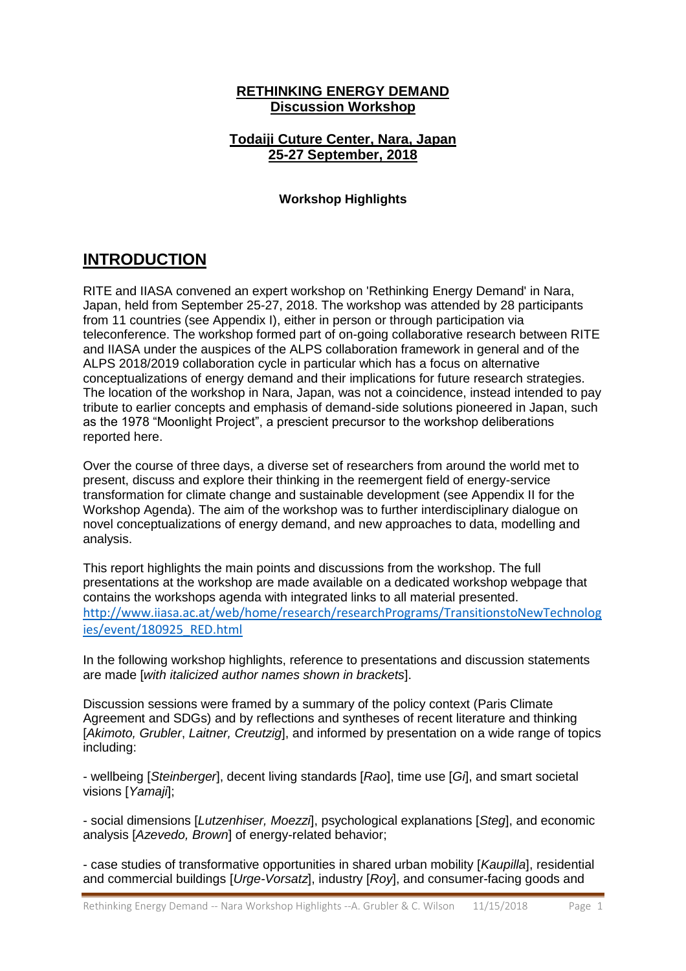### **RETHINKING ENERGY DEMAND Discussion Workshop**

### **Todaiji Cuture Center, Nara, Japan 25-27 September, 2018**

### **Workshop Highlights**

## **INTRODUCTION**

RITE and IIASA convened an expert workshop on 'Rethinking Energy Demand' in Nara, Japan, held from September 25-27, 2018. The workshop was attended by 28 participants from 11 countries (see Appendix I), either in person or through participation via teleconference. The workshop formed part of on-going collaborative research between RITE and IIASA under the auspices of the ALPS collaboration framework in general and of the ALPS 2018/2019 collaboration cycle in particular which has a focus on alternative conceptualizations of energy demand and their implications for future research strategies. The location of the workshop in Nara, Japan, was not a coincidence, instead intended to pay tribute to earlier concepts and emphasis of demand-side solutions pioneered in Japan, such as the 1978 "Moonlight Project", a prescient precursor to the workshop deliberations reported here.

Over the course of three days, a diverse set of researchers from around the world met to present, discuss and explore their thinking in the reemergent field of energy-service transformation for climate change and sustainable development (see Appendix II for the Workshop Agenda). The aim of the workshop was to further interdisciplinary dialogue on novel conceptualizations of energy demand, and new approaches to data, modelling and analysis.

This report highlights the main points and discussions from the workshop. The full presentations at the workshop are made available on a dedicated workshop webpage that contains the workshops agenda with integrated links to all material presented. [http://www.iiasa.ac.at/web/home/research/researchPrograms/TransitionstoNewTechnolog](http://www.iiasa.ac.at/web/home/research/researchPrograms/TransitionstoNewTechnologies/event/180925_RED.html) [ies/event/180925\\_RED.html](http://www.iiasa.ac.at/web/home/research/researchPrograms/TransitionstoNewTechnologies/event/180925_RED.html)

In the following workshop highlights, reference to presentations and discussion statements are made [*with italicized author names shown in brackets*].

Discussion sessions were framed by a summary of the policy context (Paris Climate Agreement and SDGs) and by reflections and syntheses of recent literature and thinking [*Akimoto, Grubler*, *Laitner, Creutzig*], and informed by presentation on a wide range of topics including:

- wellbeing [*Steinberger*], decent living standards [*Rao*], time use [*Gi*], and smart societal visions [*Yamaji*];

- social dimensions [*Lutzenhiser, Moezzi*], psychological explanations [*Steg*], and economic analysis [*Azevedo, Brown*] of energy-related behavior;

- case studies of transformative opportunities in shared urban mobility [*Kaupilla*], residential and commercial buildings [*Urge-Vorsatz*], industry [*Roy*], and consumer-facing goods and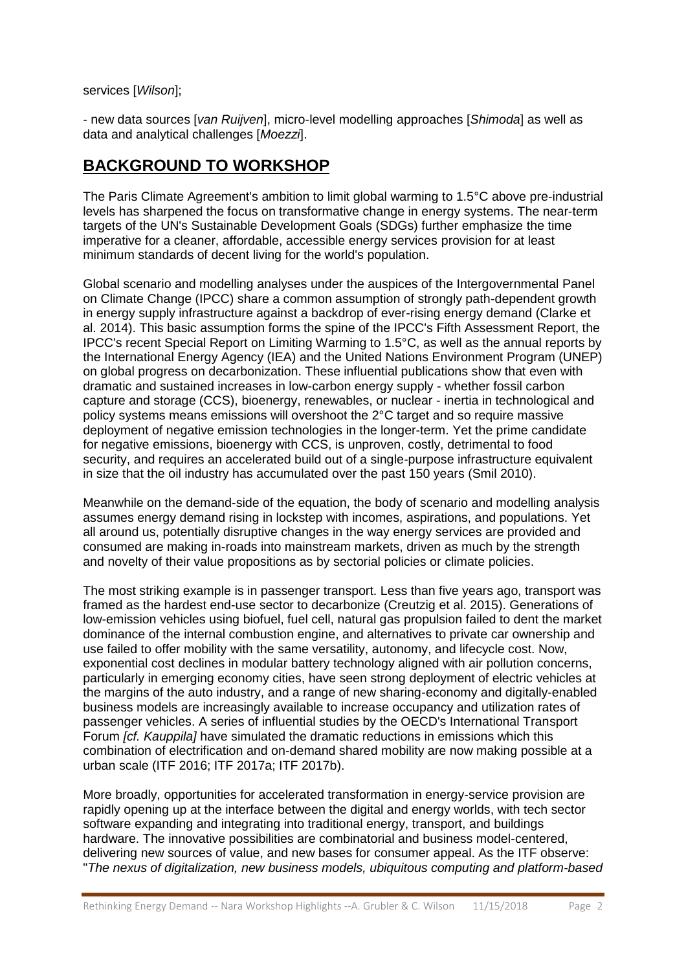services [*Wilson*];

- new data sources [*van Ruijven*], micro-level modelling approaches [*Shimoda*] as well as data and analytical challenges [*Moezzi*].

## **BACKGROUND TO WORKSHOP**

The Paris Climate Agreement's ambition to limit global warming to 1.5°C above pre-industrial levels has sharpened the focus on transformative change in energy systems. The near-term targets of the UN's Sustainable Development Goals (SDGs) further emphasize the time imperative for a cleaner, affordable, accessible energy services provision for at least minimum standards of decent living for the world's population.

Global scenario and modelling analyses under the auspices of the Intergovernmental Panel on Climate Change (IPCC) share a common assumption of strongly path-dependent growth in energy supply infrastructure against a backdrop of ever-rising energy demand (Clarke et al. 2014). This basic assumption forms the spine of the IPCC's Fifth Assessment Report, the IPCC's recent Special Report on Limiting Warming to 1.5°C, as well as the annual reports by the International Energy Agency (IEA) and the United Nations Environment Program (UNEP) on global progress on decarbonization. These influential publications show that even with dramatic and sustained increases in low-carbon energy supply - whether fossil carbon capture and storage (CCS), bioenergy, renewables, or nuclear - inertia in technological and policy systems means emissions will overshoot the 2°C target and so require massive deployment of negative emission technologies in the longer-term. Yet the prime candidate for negative emissions, bioenergy with CCS, is unproven, costly, detrimental to food security, and requires an accelerated build out of a single-purpose infrastructure equivalent in size that the oil industry has accumulated over the past 150 years (Smil 2010).

Meanwhile on the demand-side of the equation, the body of scenario and modelling analysis assumes energy demand rising in lockstep with incomes, aspirations, and populations. Yet all around us, potentially disruptive changes in the way energy services are provided and consumed are making in-roads into mainstream markets, driven as much by the strength and novelty of their value propositions as by sectorial policies or climate policies.

The most striking example is in passenger transport. Less than five years ago, transport was framed as the hardest end-use sector to decarbonize (Creutzig et al. 2015). Generations of low-emission vehicles using biofuel, fuel cell, natural gas propulsion failed to dent the market dominance of the internal combustion engine, and alternatives to private car ownership and use failed to offer mobility with the same versatility, autonomy, and lifecycle cost. Now, exponential cost declines in modular battery technology aligned with air pollution concerns, particularly in emerging economy cities, have seen strong deployment of electric vehicles at the margins of the auto industry, and a range of new sharing-economy and digitally-enabled business models are increasingly available to increase occupancy and utilization rates of passenger vehicles. A series of influential studies by the OECD's International Transport Forum *[cf. Kauppila]* have simulated the dramatic reductions in emissions which this combination of electrification and on-demand shared mobility are now making possible at a urban scale (ITF 2016; ITF 2017a; ITF 2017b).

More broadly, opportunities for accelerated transformation in energy-service provision are rapidly opening up at the interface between the digital and energy worlds, with tech sector software expanding and integrating into traditional energy, transport, and buildings hardware. The innovative possibilities are combinatorial and business model-centered, delivering new sources of value, and new bases for consumer appeal. As the ITF observe: "*The nexus of digitalization, new business models, ubiquitous computing and platform-based*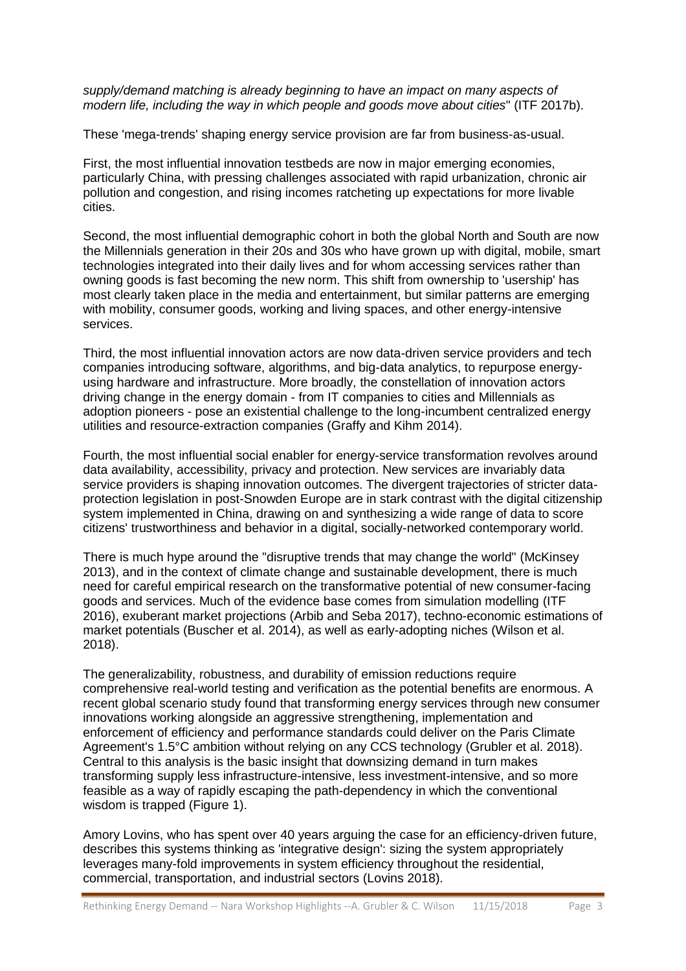*supply/demand matching is already beginning to have an impact on many aspects of modern life, including the way in which people and goods move about cities*" (ITF 2017b).

These 'mega-trends' shaping energy service provision are far from business-as-usual.

First, the most influential innovation testbeds are now in major emerging economies, particularly China, with pressing challenges associated with rapid urbanization, chronic air pollution and congestion, and rising incomes ratcheting up expectations for more livable cities.

Second, the most influential demographic cohort in both the global North and South are now the Millennials generation in their 20s and 30s who have grown up with digital, mobile, smart technologies integrated into their daily lives and for whom accessing services rather than owning goods is fast becoming the new norm. This shift from ownership to 'usership' has most clearly taken place in the media and entertainment, but similar patterns are emerging with mobility, consumer goods, working and living spaces, and other energy-intensive services.

Third, the most influential innovation actors are now data-driven service providers and tech companies introducing software, algorithms, and big-data analytics, to repurpose energyusing hardware and infrastructure. More broadly, the constellation of innovation actors driving change in the energy domain - from IT companies to cities and Millennials as adoption pioneers - pose an existential challenge to the long-incumbent centralized energy utilities and resource-extraction companies (Graffy and Kihm 2014).

Fourth, the most influential social enabler for energy-service transformation revolves around data availability, accessibility, privacy and protection. New services are invariably data service providers is shaping innovation outcomes. The divergent trajectories of stricter dataprotection legislation in post-Snowden Europe are in stark contrast with the digital citizenship system implemented in China, drawing on and synthesizing a wide range of data to score citizens' trustworthiness and behavior in a digital, socially-networked contemporary world.

There is much hype around the "disruptive trends that may change the world" (McKinsey 2013), and in the context of climate change and sustainable development, there is much need for careful empirical research on the transformative potential of new consumer-facing goods and services. Much of the evidence base comes from simulation modelling (ITF 2016), exuberant market projections (Arbib and Seba 2017), techno-economic estimations of market potentials (Buscher et al. 2014), as well as early-adopting niches (Wilson et al. 2018).

The generalizability, robustness, and durability of emission reductions require comprehensive real-world testing and verification as the potential benefits are enormous. A recent global scenario study found that transforming energy services through new consumer innovations working alongside an aggressive strengthening, implementation and enforcement of efficiency and performance standards could deliver on the Paris Climate Agreement's 1.5°C ambition without relying on any CCS technology (Grubler et al. 2018). Central to this analysis is the basic insight that downsizing demand in turn makes transforming supply less infrastructure-intensive, less investment-intensive, and so more feasible as a way of rapidly escaping the path-dependency in which the conventional wisdom is trapped (Figure 1).

Amory Lovins, who has spent over 40 years arguing the case for an efficiency-driven future, describes this systems thinking as 'integrative design': sizing the system appropriately leverages many-fold improvements in system efficiency throughout the residential, commercial, transportation, and industrial sectors (Lovins 2018).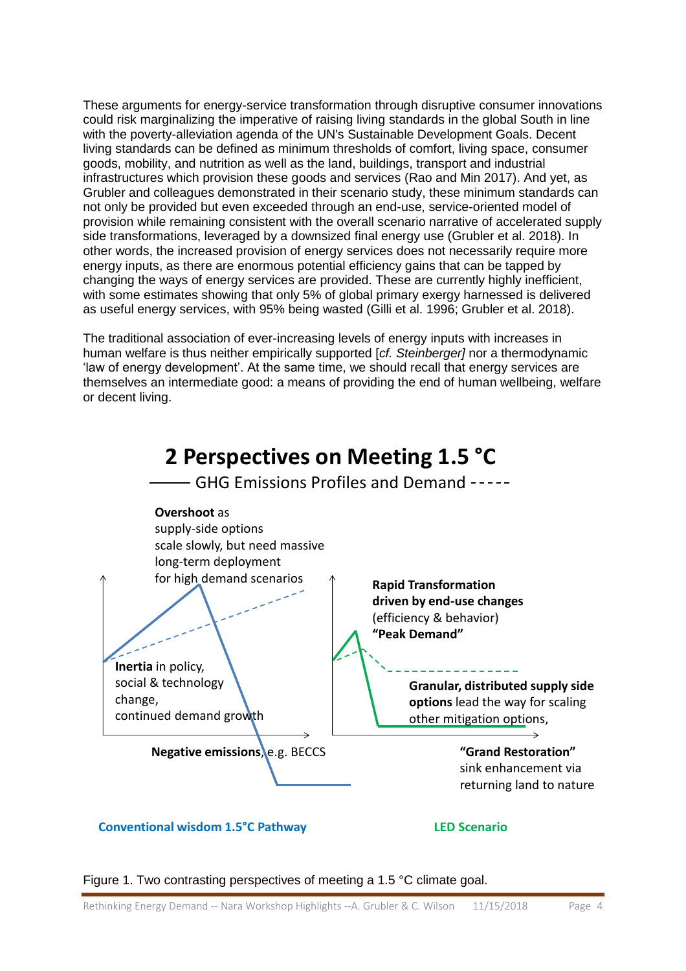These arguments for energy-service transformation through disruptive consumer innovations could risk marginalizing the imperative of raising living standards in the global South in line with the poverty-alleviation agenda of the UN's Sustainable Development Goals. Decent living standards can be defined as minimum thresholds of comfort, living space, consumer goods, mobility, and nutrition as well as the land, buildings, transport and industrial infrastructures which provision these goods and services (Rao and Min 2017). And yet, as Grubler and colleagues demonstrated in their scenario study, these minimum standards can not only be provided but even exceeded through an end-use, service-oriented model of provision while remaining consistent with the overall scenario narrative of accelerated supply side transformations, leveraged by a downsized final energy use (Grubler et al. 2018). In other words, the increased provision of energy services does not necessarily require more energy inputs, as there are enormous potential efficiency gains that can be tapped by changing the ways of energy services are provided. These are currently highly inefficient, with some estimates showing that only 5% of global primary exergy harnessed is delivered as useful energy services, with 95% being wasted (Gilli et al. 1996; Grubler et al. 2018).

The traditional association of ever-increasing levels of energy inputs with increases in human welfare is thus neither empirically supported [*cf. Steinberger]* nor a thermodynamic 'law of energy development'. At the same time, we should recall that energy services are themselves an intermediate good: a means of providing the end of human wellbeing, welfare or decent living.



**Conventional wisdom 1.5°C Pathway LED Scenario**

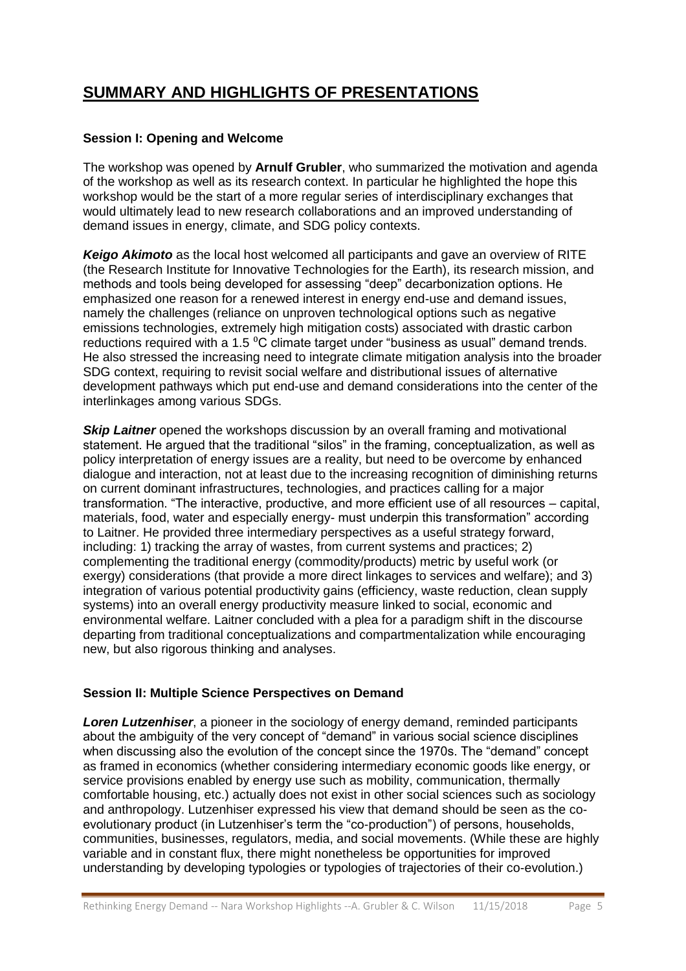## **SUMMARY AND HIGHLIGHTS OF PRESENTATIONS**

### **Session I: Opening and Welcome**

The workshop was opened by **Arnulf Grubler**, who summarized the motivation and agenda of the workshop as well as its research context. In particular he highlighted the hope this workshop would be the start of a more regular series of interdisciplinary exchanges that would ultimately lead to new research collaborations and an improved understanding of demand issues in energy, climate, and SDG policy contexts.

*Keigo Akimoto* as the local host welcomed all participants and gave an overview of RITE (the Research Institute for Innovative Technologies for the Earth), its research mission, and methods and tools being developed for assessing "deep" decarbonization options. He emphasized one reason for a renewed interest in energy end-use and demand issues, namely the challenges (reliance on unproven technological options such as negative emissions technologies, extremely high mitigation costs) associated with drastic carbon reductions required with a 1.5 °C climate target under "business as usual" demand trends. He also stressed the increasing need to integrate climate mitigation analysis into the broader SDG context, requiring to revisit social welfare and distributional issues of alternative development pathways which put end-use and demand considerations into the center of the interlinkages among various SDGs.

**Skip Laitner** opened the workshops discussion by an overall framing and motivational statement. He argued that the traditional "silos" in the framing, conceptualization, as well as policy interpretation of energy issues are a reality, but need to be overcome by enhanced dialogue and interaction, not at least due to the increasing recognition of diminishing returns on current dominant infrastructures, technologies, and practices calling for a major transformation. "The interactive, productive, and more efficient use of all resources – capital, materials, food, water and especially energy- must underpin this transformation" according to Laitner. He provided three intermediary perspectives as a useful strategy forward, including: 1) tracking the array of wastes, from current systems and practices; 2) complementing the traditional energy (commodity/products) metric by useful work (or exergy) considerations (that provide a more direct linkages to services and welfare); and 3) integration of various potential productivity gains (efficiency, waste reduction, clean supply systems) into an overall energy productivity measure linked to social, economic and environmental welfare. Laitner concluded with a plea for a paradigm shift in the discourse departing from traditional conceptualizations and compartmentalization while encouraging new, but also rigorous thinking and analyses.

### **Session II: Multiple Science Perspectives on Demand**

*Loren Lutzenhiser*, a pioneer in the sociology of energy demand, reminded participants about the ambiguity of the very concept of "demand" in various social science disciplines when discussing also the evolution of the concept since the 1970s. The "demand" concept as framed in economics (whether considering intermediary economic goods like energy, or service provisions enabled by energy use such as mobility, communication, thermally comfortable housing, etc.) actually does not exist in other social sciences such as sociology and anthropology. Lutzenhiser expressed his view that demand should be seen as the coevolutionary product (in Lutzenhiser's term the "co-production") of persons, households, communities, businesses, regulators, media, and social movements. (While these are highly variable and in constant flux, there might nonetheless be opportunities for improved understanding by developing typologies or typologies of trajectories of their co-evolution.)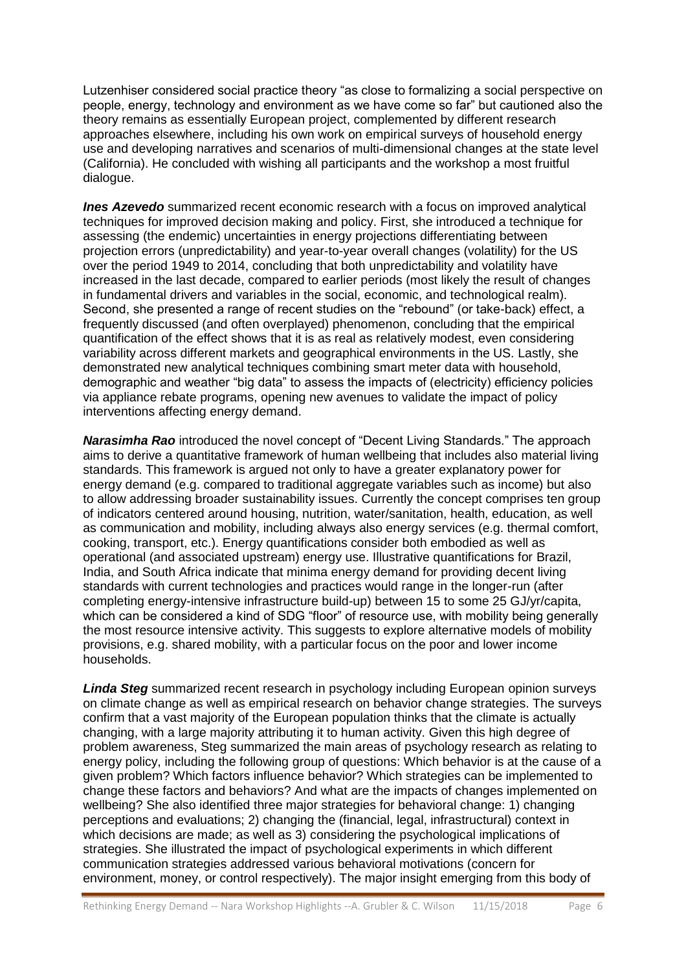Lutzenhiser considered social practice theory "as close to formalizing a social perspective on people, energy, technology and environment as we have come so far" but cautioned also the theory remains as essentially European project, complemented by different research approaches elsewhere, including his own work on empirical surveys of household energy use and developing narratives and scenarios of multi-dimensional changes at the state level (California). He concluded with wishing all participants and the workshop a most fruitful dialogue.

*Ines Azevedo* summarized recent economic research with a focus on improved analytical techniques for improved decision making and policy. First, she introduced a technique for assessing (the endemic) uncertainties in energy projections differentiating between projection errors (unpredictability) and year-to-year overall changes (volatility) for the US over the period 1949 to 2014, concluding that both unpredictability and volatility have increased in the last decade, compared to earlier periods (most likely the result of changes in fundamental drivers and variables in the social, economic, and technological realm). Second, she presented a range of recent studies on the "rebound" (or take-back) effect, a frequently discussed (and often overplayed) phenomenon, concluding that the empirical quantification of the effect shows that it is as real as relatively modest, even considering variability across different markets and geographical environments in the US. Lastly, she demonstrated new analytical techniques combining smart meter data with household, demographic and weather "big data" to assess the impacts of (electricity) efficiency policies via appliance rebate programs, opening new avenues to validate the impact of policy interventions affecting energy demand.

*Narasimha Rao* introduced the novel concept of "Decent Living Standards." The approach aims to derive a quantitative framework of human wellbeing that includes also material living standards. This framework is argued not only to have a greater explanatory power for energy demand (e.g. compared to traditional aggregate variables such as income) but also to allow addressing broader sustainability issues. Currently the concept comprises ten group of indicators centered around housing, nutrition, water/sanitation, health, education, as well as communication and mobility, including always also energy services (e.g. thermal comfort, cooking, transport, etc.). Energy quantifications consider both embodied as well as operational (and associated upstream) energy use. Illustrative quantifications for Brazil, India, and South Africa indicate that minima energy demand for providing decent living standards with current technologies and practices would range in the longer-run (after completing energy-intensive infrastructure build-up) between 15 to some 25 GJ/yr/capita, which can be considered a kind of SDG "floor" of resource use, with mobility being generally the most resource intensive activity. This suggests to explore alternative models of mobility provisions, e.g. shared mobility, with a particular focus on the poor and lower income households.

*Linda Steg* summarized recent research in psychology including European opinion surveys on climate change as well as empirical research on behavior change strategies. The surveys confirm that a vast majority of the European population thinks that the climate is actually changing, with a large majority attributing it to human activity. Given this high degree of problem awareness, Steg summarized the main areas of psychology research as relating to energy policy, including the following group of questions: Which behavior is at the cause of a given problem? Which factors influence behavior? Which strategies can be implemented to change these factors and behaviors? And what are the impacts of changes implemented on wellbeing? She also identified three major strategies for behavioral change: 1) changing perceptions and evaluations; 2) changing the (financial, legal, infrastructural) context in which decisions are made; as well as 3) considering the psychological implications of strategies. She illustrated the impact of psychological experiments in which different communication strategies addressed various behavioral motivations (concern for environment, money, or control respectively). The major insight emerging from this body of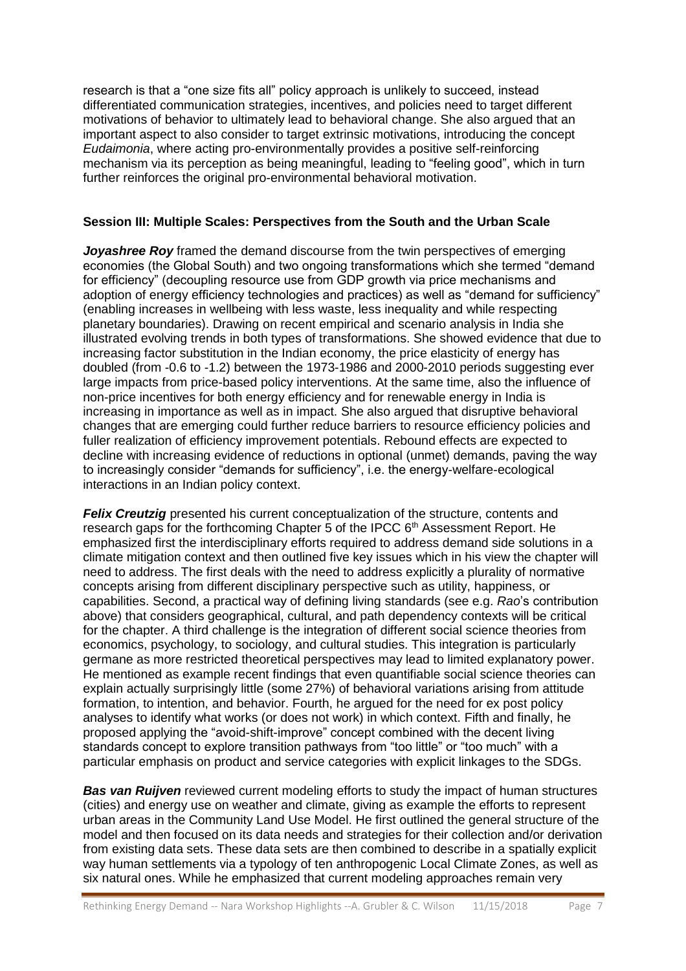research is that a "one size fits all" policy approach is unlikely to succeed, instead differentiated communication strategies, incentives, and policies need to target different motivations of behavior to ultimately lead to behavioral change. She also argued that an important aspect to also consider to target extrinsic motivations, introducing the concept *Eudaimonia*, where acting pro-environmentally provides a positive self-reinforcing mechanism via its perception as being meaningful, leading to "feeling good", which in turn further reinforces the original pro-environmental behavioral motivation.

#### **Session III: Multiple Scales: Perspectives from the South and the Urban Scale**

*Joyashree Roy* framed the demand discourse from the twin perspectives of emerging economies (the Global South) and two ongoing transformations which she termed "demand for efficiency" (decoupling resource use from GDP growth via price mechanisms and adoption of energy efficiency technologies and practices) as well as "demand for sufficiency" (enabling increases in wellbeing with less waste, less inequality and while respecting planetary boundaries). Drawing on recent empirical and scenario analysis in India she illustrated evolving trends in both types of transformations. She showed evidence that due to increasing factor substitution in the Indian economy, the price elasticity of energy has doubled (from -0.6 to -1.2) between the 1973-1986 and 2000-2010 periods suggesting ever large impacts from price-based policy interventions. At the same time, also the influence of non-price incentives for both energy efficiency and for renewable energy in India is increasing in importance as well as in impact. She also argued that disruptive behavioral changes that are emerging could further reduce barriers to resource efficiency policies and fuller realization of efficiency improvement potentials. Rebound effects are expected to decline with increasing evidence of reductions in optional (unmet) demands, paving the way to increasingly consider "demands for sufficiency", i.e. the energy-welfare-ecological interactions in an Indian policy context.

*Felix Creutzig* presented his current conceptualization of the structure, contents and research gaps for the forthcoming Chapter 5 of the IPCC  $6<sup>th</sup>$  Assessment Report. He emphasized first the interdisciplinary efforts required to address demand side solutions in a climate mitigation context and then outlined five key issues which in his view the chapter will need to address. The first deals with the need to address explicitly a plurality of normative concepts arising from different disciplinary perspective such as utility, happiness, or capabilities. Second, a practical way of defining living standards (see e.g. *Rao*'s contribution above) that considers geographical, cultural, and path dependency contexts will be critical for the chapter. A third challenge is the integration of different social science theories from economics, psychology, to sociology, and cultural studies. This integration is particularly germane as more restricted theoretical perspectives may lead to limited explanatory power. He mentioned as example recent findings that even quantifiable social science theories can explain actually surprisingly little (some 27%) of behavioral variations arising from attitude formation, to intention, and behavior. Fourth, he argued for the need for ex post policy analyses to identify what works (or does not work) in which context. Fifth and finally, he proposed applying the "avoid-shift-improve" concept combined with the decent living standards concept to explore transition pathways from "too little" or "too much" with a particular emphasis on product and service categories with explicit linkages to the SDGs.

**Bas van Ruijven** reviewed current modeling efforts to study the impact of human structures (cities) and energy use on weather and climate, giving as example the efforts to represent urban areas in the Community Land Use Model. He first outlined the general structure of the model and then focused on its data needs and strategies for their collection and/or derivation from existing data sets. These data sets are then combined to describe in a spatially explicit way human settlements via a typology of ten anthropogenic Local Climate Zones, as well as six natural ones. While he emphasized that current modeling approaches remain very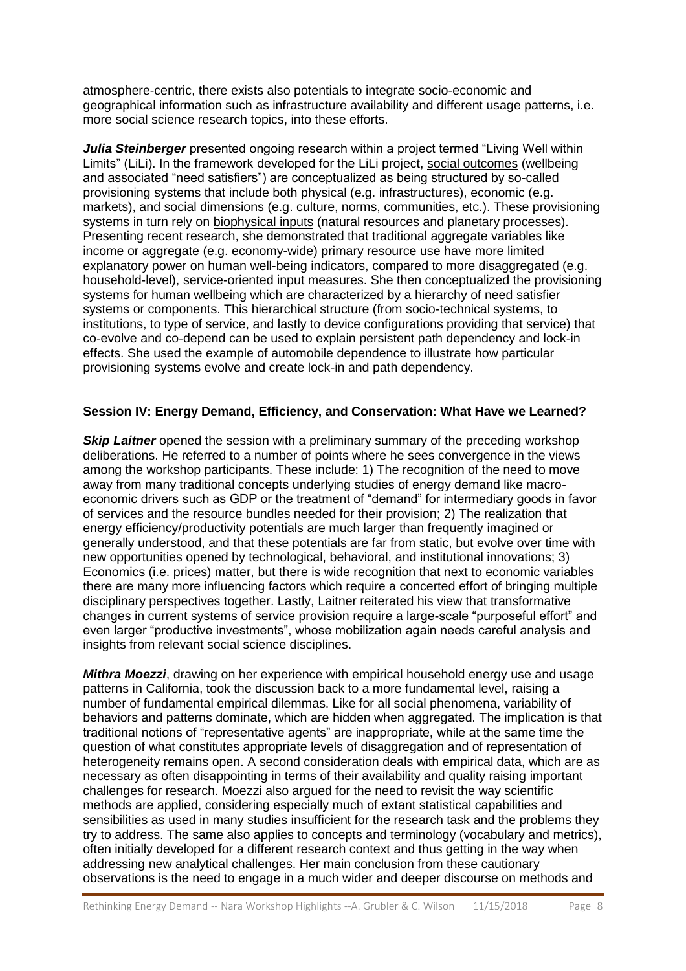atmosphere-centric, there exists also potentials to integrate socio-economic and geographical information such as infrastructure availability and different usage patterns, i.e. more social science research topics, into these efforts.

*Julia Steinberger* presented ongoing research within a project termed "Living Well within Limits" (LiLi). In the framework developed for the LiLi project, social outcomes (wellbeing and associated "need satisfiers") are conceptualized as being structured by so-called provisioning systems that include both physical (e.g. infrastructures), economic (e.g. markets), and social dimensions (e.g. culture, norms, communities, etc.). These provisioning systems in turn rely on biophysical inputs (natural resources and planetary processes). Presenting recent research, she demonstrated that traditional aggregate variables like income or aggregate (e.g. economy-wide) primary resource use have more limited explanatory power on human well-being indicators, compared to more disaggregated (e.g. household-level), service-oriented input measures. She then conceptualized the provisioning systems for human wellbeing which are characterized by a hierarchy of need satisfier systems or components. This hierarchical structure (from socio-technical systems, to institutions, to type of service, and lastly to device configurations providing that service) that co-evolve and co-depend can be used to explain persistent path dependency and lock-in effects. She used the example of automobile dependence to illustrate how particular provisioning systems evolve and create lock-in and path dependency.

### **Session IV: Energy Demand, Efficiency, and Conservation: What Have we Learned?**

**Skip Laitner** opened the session with a preliminary summary of the preceding workshop deliberations. He referred to a number of points where he sees convergence in the views among the workshop participants. These include: 1) The recognition of the need to move away from many traditional concepts underlying studies of energy demand like macroeconomic drivers such as GDP or the treatment of "demand" for intermediary goods in favor of services and the resource bundles needed for their provision; 2) The realization that energy efficiency/productivity potentials are much larger than frequently imagined or generally understood, and that these potentials are far from static, but evolve over time with new opportunities opened by technological, behavioral, and institutional innovations; 3) Economics (i.e. prices) matter, but there is wide recognition that next to economic variables there are many more influencing factors which require a concerted effort of bringing multiple disciplinary perspectives together. Lastly, Laitner reiterated his view that transformative changes in current systems of service provision require a large-scale "purposeful effort" and even larger "productive investments", whose mobilization again needs careful analysis and insights from relevant social science disciplines.

*Mithra Moezzi*, drawing on her experience with empirical household energy use and usage patterns in California, took the discussion back to a more fundamental level, raising a number of fundamental empirical dilemmas. Like for all social phenomena, variability of behaviors and patterns dominate, which are hidden when aggregated. The implication is that traditional notions of "representative agents" are inappropriate, while at the same time the question of what constitutes appropriate levels of disaggregation and of representation of heterogeneity remains open. A second consideration deals with empirical data, which are as necessary as often disappointing in terms of their availability and quality raising important challenges for research. Moezzi also argued for the need to revisit the way scientific methods are applied, considering especially much of extant statistical capabilities and sensibilities as used in many studies insufficient for the research task and the problems they try to address. The same also applies to concepts and terminology (vocabulary and metrics), often initially developed for a different research context and thus getting in the way when addressing new analytical challenges. Her main conclusion from these cautionary observations is the need to engage in a much wider and deeper discourse on methods and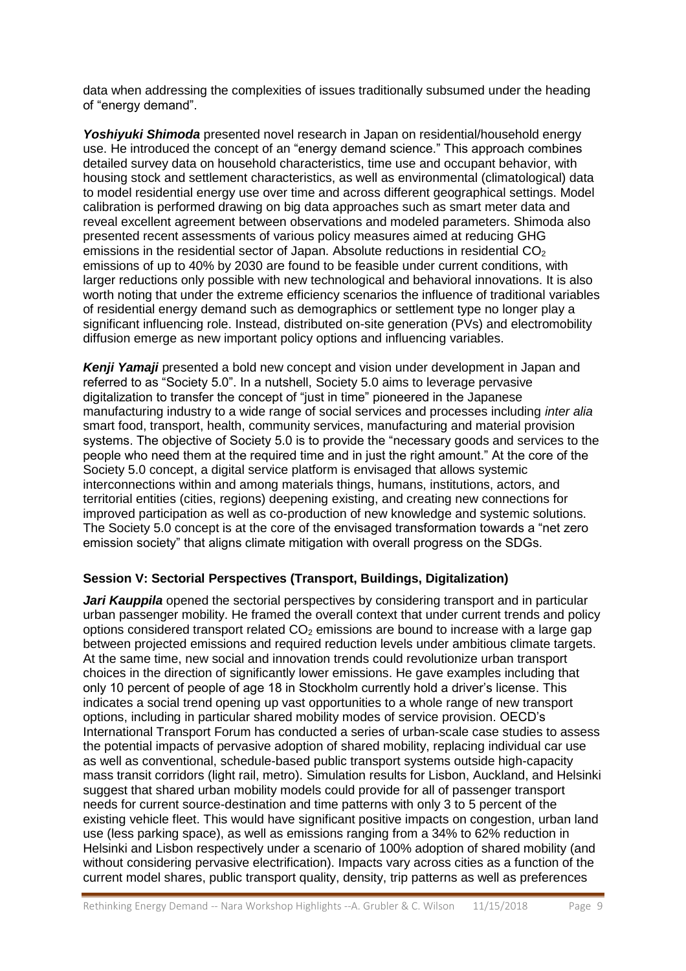data when addressing the complexities of issues traditionally subsumed under the heading of "energy demand".

*Yoshiyuki Shimoda* presented novel research in Japan on residential/household energy use. He introduced the concept of an "energy demand science." This approach combines detailed survey data on household characteristics, time use and occupant behavior, with housing stock and settlement characteristics, as well as environmental (climatological) data to model residential energy use over time and across different geographical settings. Model calibration is performed drawing on big data approaches such as smart meter data and reveal excellent agreement between observations and modeled parameters. Shimoda also presented recent assessments of various policy measures aimed at reducing GHG emissions in the residential sector of Japan. Absolute reductions in residential  $CO<sub>2</sub>$ emissions of up to 40% by 2030 are found to be feasible under current conditions, with larger reductions only possible with new technological and behavioral innovations. It is also worth noting that under the extreme efficiency scenarios the influence of traditional variables of residential energy demand such as demographics or settlement type no longer play a significant influencing role. Instead, distributed on-site generation (PVs) and electromobility diffusion emerge as new important policy options and influencing variables.

*Kenji Yamaji* presented a bold new concept and vision under development in Japan and referred to as "Society 5.0". In a nutshell, Society 5.0 aims to leverage pervasive digitalization to transfer the concept of "just in time" pioneered in the Japanese manufacturing industry to a wide range of social services and processes including *inter alia* smart food, transport, health, community services, manufacturing and material provision systems. The objective of Society 5.0 is to provide the "necessary goods and services to the people who need them at the required time and in just the right amount." At the core of the Society 5.0 concept, a digital service platform is envisaged that allows systemic interconnections within and among materials things, humans, institutions, actors, and territorial entities (cities, regions) deepening existing, and creating new connections for improved participation as well as co-production of new knowledge and systemic solutions. The Society 5.0 concept is at the core of the envisaged transformation towards a "net zero emission society" that aligns climate mitigation with overall progress on the SDGs.

### **Session V: Sectorial Perspectives (Transport, Buildings, Digitalization)**

*Jari Kauppila* opened the sectorial perspectives by considering transport and in particular urban passenger mobility. He framed the overall context that under current trends and policy options considered transport related  $CO<sub>2</sub>$  emissions are bound to increase with a large gap between projected emissions and required reduction levels under ambitious climate targets. At the same time, new social and innovation trends could revolutionize urban transport choices in the direction of significantly lower emissions. He gave examples including that only 10 percent of people of age 18 in Stockholm currently hold a driver's license. This indicates a social trend opening up vast opportunities to a whole range of new transport options, including in particular shared mobility modes of service provision. OECD's International Transport Forum has conducted a series of urban-scale case studies to assess the potential impacts of pervasive adoption of shared mobility, replacing individual car use as well as conventional, schedule-based public transport systems outside high-capacity mass transit corridors (light rail, metro). Simulation results for Lisbon, Auckland, and Helsinki suggest that shared urban mobility models could provide for all of passenger transport needs for current source-destination and time patterns with only 3 to 5 percent of the existing vehicle fleet. This would have significant positive impacts on congestion, urban land use (less parking space), as well as emissions ranging from a 34% to 62% reduction in Helsinki and Lisbon respectively under a scenario of 100% adoption of shared mobility (and without considering pervasive electrification). Impacts vary across cities as a function of the current model shares, public transport quality, density, trip patterns as well as preferences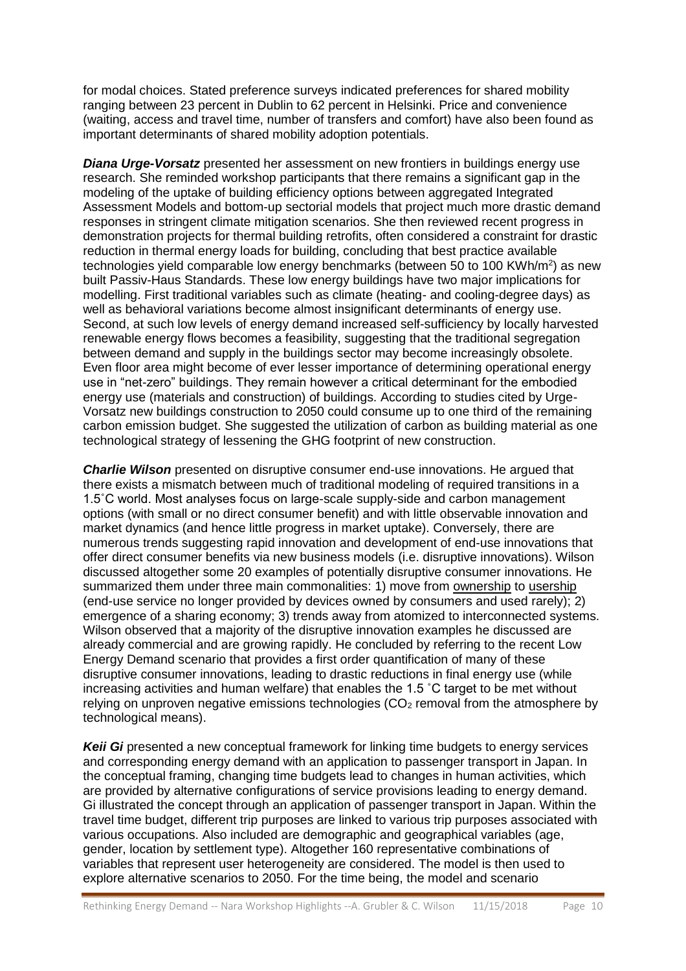for modal choices. Stated preference surveys indicated preferences for shared mobility ranging between 23 percent in Dublin to 62 percent in Helsinki. Price and convenience (waiting, access and travel time, number of transfers and comfort) have also been found as important determinants of shared mobility adoption potentials.

*Diana Urge-Vorsatz* presented her assessment on new frontiers in buildings energy use research. She reminded workshop participants that there remains a significant gap in the modeling of the uptake of building efficiency options between aggregated Integrated Assessment Models and bottom-up sectorial models that project much more drastic demand responses in stringent climate mitigation scenarios. She then reviewed recent progress in demonstration projects for thermal building retrofits, often considered a constraint for drastic reduction in thermal energy loads for building, concluding that best practice available technologies yield comparable low energy benchmarks (between 50 to 100 KWh/m<sup>2</sup>) as new built Passiv-Haus Standards. These low energy buildings have two major implications for modelling. First traditional variables such as climate (heating- and cooling-degree days) as well as behavioral variations become almost insignificant determinants of energy use. Second, at such low levels of energy demand increased self-sufficiency by locally harvested renewable energy flows becomes a feasibility, suggesting that the traditional segregation between demand and supply in the buildings sector may become increasingly obsolete. Even floor area might become of ever lesser importance of determining operational energy use in "net-zero" buildings. They remain however a critical determinant for the embodied energy use (materials and construction) of buildings. According to studies cited by Urge-Vorsatz new buildings construction to 2050 could consume up to one third of the remaining carbon emission budget. She suggested the utilization of carbon as building material as one technological strategy of lessening the GHG footprint of new construction.

*Charlie Wilson* presented on disruptive consumer end-use innovations. He argued that there exists a mismatch between much of traditional modeling of required transitions in a 1.5˚C world. Most analyses focus on large-scale supply-side and carbon management options (with small or no direct consumer benefit) and with little observable innovation and market dynamics (and hence little progress in market uptake). Conversely, there are numerous trends suggesting rapid innovation and development of end-use innovations that offer direct consumer benefits via new business models (i.e. disruptive innovations). Wilson discussed altogether some 20 examples of potentially disruptive consumer innovations. He summarized them under three main commonalities: 1) move from ownership to usership (end-use service no longer provided by devices owned by consumers and used rarely); 2) emergence of a sharing economy; 3) trends away from atomized to interconnected systems. Wilson observed that a majority of the disruptive innovation examples he discussed are already commercial and are growing rapidly. He concluded by referring to the recent Low Energy Demand scenario that provides a first order quantification of many of these disruptive consumer innovations, leading to drastic reductions in final energy use (while increasing activities and human welfare) that enables the 1.5 ˚C target to be met without relying on unproven negative emissions technologies  $(CO<sub>2</sub>$  removal from the atmosphere by technological means).

*Keii Gi* presented a new conceptual framework for linking time budgets to energy services and corresponding energy demand with an application to passenger transport in Japan. In the conceptual framing, changing time budgets lead to changes in human activities, which are provided by alternative configurations of service provisions leading to energy demand. Gi illustrated the concept through an application of passenger transport in Japan. Within the travel time budget, different trip purposes are linked to various trip purposes associated with various occupations. Also included are demographic and geographical variables (age, gender, location by settlement type). Altogether 160 representative combinations of variables that represent user heterogeneity are considered. The model is then used to explore alternative scenarios to 2050. For the time being, the model and scenario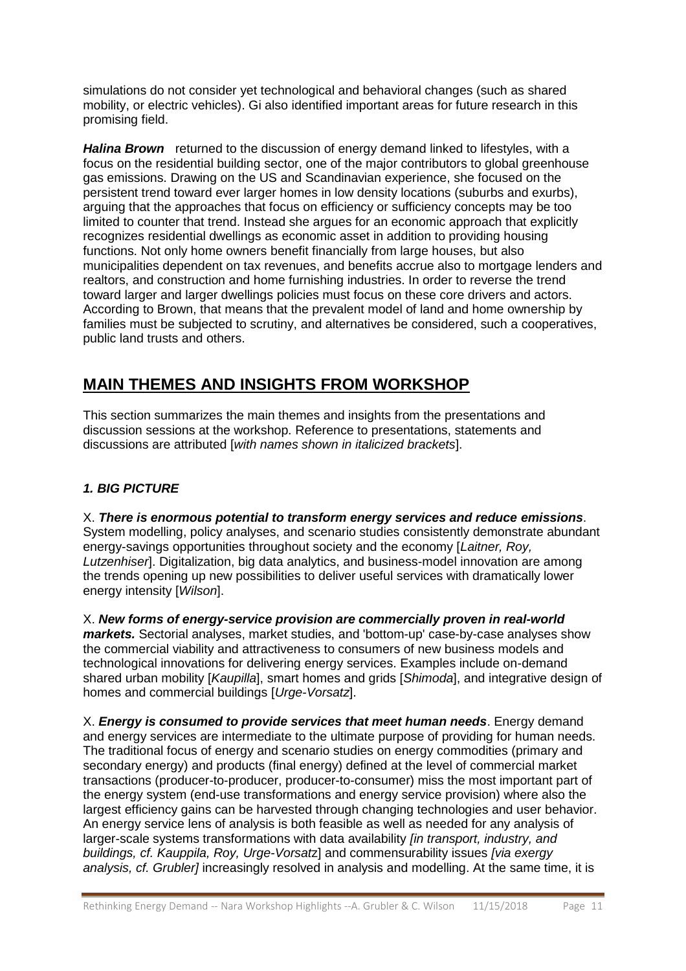simulations do not consider yet technological and behavioral changes (such as shared mobility, or electric vehicles). Gi also identified important areas for future research in this promising field.

*Halina Brown* returned to the discussion of energy demand linked to lifestyles, with a focus on the residential building sector, one of the major contributors to global greenhouse gas emissions. Drawing on the US and Scandinavian experience, she focused on the persistent trend toward ever larger homes in low density locations (suburbs and exurbs), arguing that the approaches that focus on efficiency or sufficiency concepts may be too limited to counter that trend. Instead she argues for an economic approach that explicitly recognizes residential dwellings as economic asset in addition to providing housing functions. Not only home owners benefit financially from large houses, but also municipalities dependent on tax revenues, and benefits accrue also to mortgage lenders and realtors, and construction and home furnishing industries. In order to reverse the trend toward larger and larger dwellings policies must focus on these core drivers and actors. According to Brown, that means that the prevalent model of land and home ownership by families must be subjected to scrutiny, and alternatives be considered, such a cooperatives, public land trusts and others.

### **MAIN THEMES AND INSIGHTS FROM WORKSHOP**

This section summarizes the main themes and insights from the presentations and discussion sessions at the workshop. Reference to presentations, statements and discussions are attributed [*with names shown in italicized brackets*].

### *1. BIG PICTURE*

X. *There is enormous potential to transform energy services and reduce emissions*. System modelling, policy analyses, and scenario studies consistently demonstrate abundant energy-savings opportunities throughout society and the economy [*Laitner, Roy, Lutzenhiser*]. Digitalization, big data analytics, and business-model innovation are among the trends opening up new possibilities to deliver useful services with dramatically lower energy intensity [*Wilson*].

X. *New forms of energy-service provision are commercially proven in real-world markets.* Sectorial analyses, market studies, and 'bottom-up' case-by-case analyses show the commercial viability and attractiveness to consumers of new business models and technological innovations for delivering energy services. Examples include on-demand shared urban mobility [*Kaupilla*], smart homes and grids [*Shimoda*], and integrative design of homes and commercial buildings [*Urge-Vorsatz*].

X. *Energy is consumed to provide services that meet human needs*. Energy demand and energy services are intermediate to the ultimate purpose of providing for human needs. The traditional focus of energy and scenario studies on energy commodities (primary and secondary energy) and products (final energy) defined at the level of commercial market transactions (producer-to-producer, producer-to-consumer) miss the most important part of the energy system (end-use transformations and energy service provision) where also the largest efficiency gains can be harvested through changing technologies and user behavior. An energy service lens of analysis is both feasible as well as needed for any analysis of larger-scale systems transformations with data availability *[in transport, industry, and buildings, cf. Kauppila, Roy, Urge-Vorsat*z] and commensurability issues *[via exergy analysis, cf. Grubler]* increasingly resolved in analysis and modelling. At the same time, it is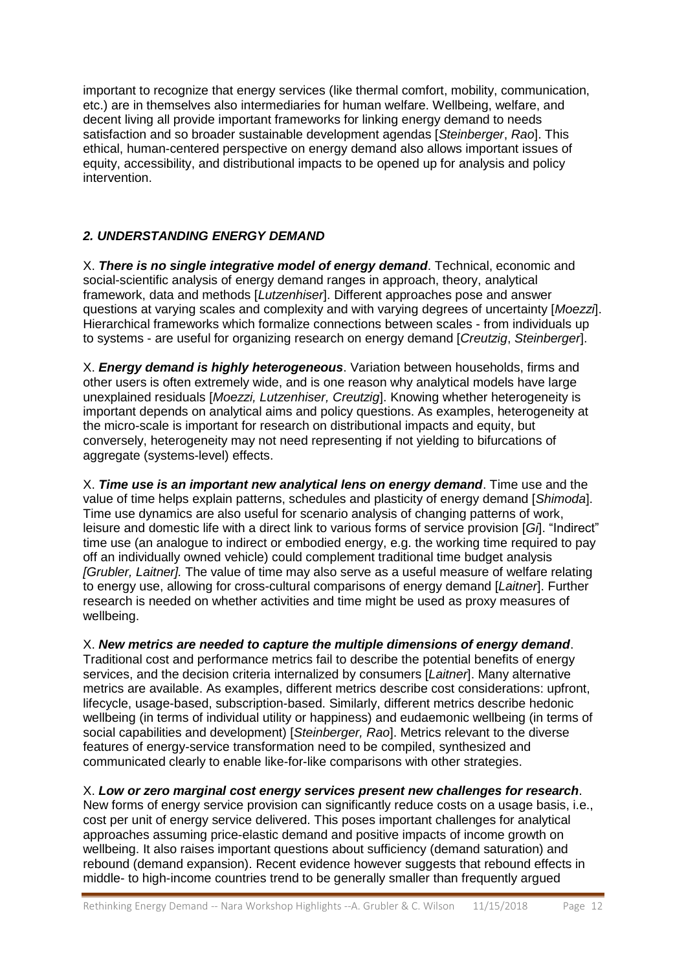important to recognize that energy services (like thermal comfort, mobility, communication, etc.) are in themselves also intermediaries for human welfare. Wellbeing, welfare, and decent living all provide important frameworks for linking energy demand to needs satisfaction and so broader sustainable development agendas [*Steinberger*, *Rao*]. This ethical, human-centered perspective on energy demand also allows important issues of equity, accessibility, and distributional impacts to be opened up for analysis and policy intervention.

### *2. UNDERSTANDING ENERGY DEMAND*

X. *There is no single integrative model of energy demand*. Technical, economic and social-scientific analysis of energy demand ranges in approach, theory, analytical framework, data and methods [*Lutzenhiser*]. Different approaches pose and answer questions at varying scales and complexity and with varying degrees of uncertainty [*Moezzi*]. Hierarchical frameworks which formalize connections between scales - from individuals up to systems - are useful for organizing research on energy demand [*Creutzig*, *Steinberger*].

X. *Energy demand is highly heterogeneous*. Variation between households, firms and other users is often extremely wide, and is one reason why analytical models have large unexplained residuals [*Moezzi, Lutzenhiser, Creutzig*]. Knowing whether heterogeneity is important depends on analytical aims and policy questions. As examples, heterogeneity at the micro-scale is important for research on distributional impacts and equity, but conversely, heterogeneity may not need representing if not yielding to bifurcations of aggregate (systems-level) effects.

X. *Time use is an important new analytical lens on energy demand*. Time use and the value of time helps explain patterns, schedules and plasticity of energy demand [*Shimoda*]. Time use dynamics are also useful for scenario analysis of changing patterns of work, leisure and domestic life with a direct link to various forms of service provision [*Gi*]. "Indirect" time use (an analogue to indirect or embodied energy, e.g. the working time required to pay off an individually owned vehicle) could complement traditional time budget analysis *[Grubler, Laitner].* The value of time may also serve as a useful measure of welfare relating to energy use, allowing for cross-cultural comparisons of energy demand [*Laitner*]. Further research is needed on whether activities and time might be used as proxy measures of wellbeing.

X. *New metrics are needed to capture the multiple dimensions of energy demand*. Traditional cost and performance metrics fail to describe the potential benefits of energy services, and the decision criteria internalized by consumers [*Laitner*]. Many alternative metrics are available. As examples, different metrics describe cost considerations: upfront, lifecycle, usage-based, subscription-based. Similarly, different metrics describe hedonic wellbeing (in terms of individual utility or happiness) and eudaemonic wellbeing (in terms of social capabilities and development) [*Steinberger, Rao*]. Metrics relevant to the diverse

# communicated clearly to enable like-for-like comparisons with other strategies.

features of energy-service transformation need to be compiled, synthesized and

X. *Low or zero marginal cost energy services present new challenges for research*. New forms of energy service provision can significantly reduce costs on a usage basis, i.e., cost per unit of energy service delivered. This poses important challenges for analytical approaches assuming price-elastic demand and positive impacts of income growth on wellbeing. It also raises important questions about sufficiency (demand saturation) and rebound (demand expansion). Recent evidence however suggests that rebound effects in middle- to high-income countries trend to be generally smaller than frequently argued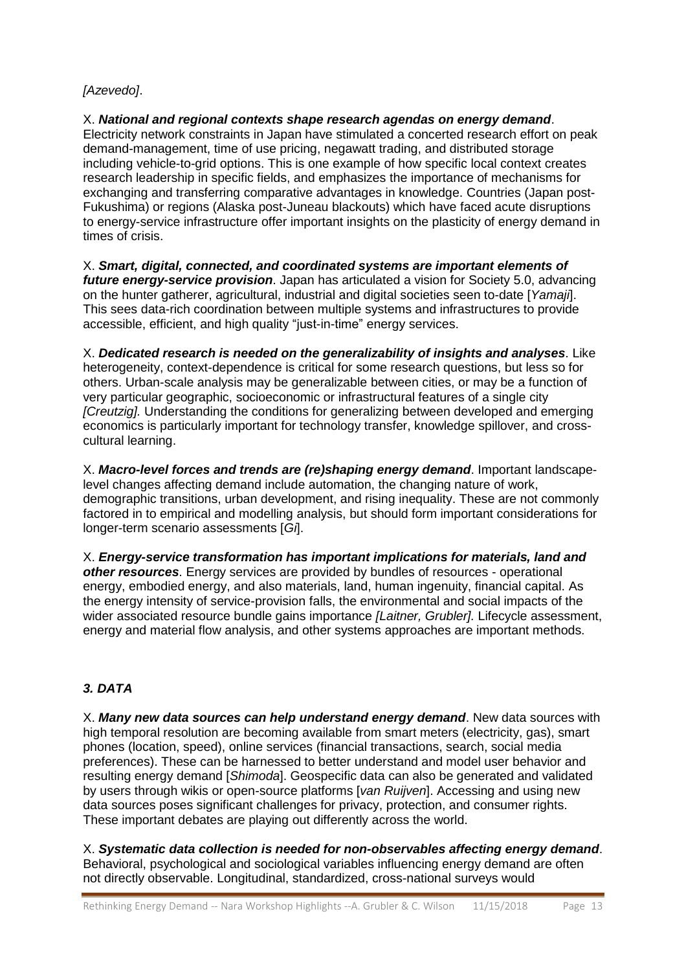### *[Azevedo]*.

X. *National and regional contexts shape research agendas on energy demand*. Electricity network constraints in Japan have stimulated a concerted research effort on peak demand-management, time of use pricing, negawatt trading, and distributed storage including vehicle-to-grid options. This is one example of how specific local context creates research leadership in specific fields, and emphasizes the importance of mechanisms for exchanging and transferring comparative advantages in knowledge. Countries (Japan post-Fukushima) or regions (Alaska post-Juneau blackouts) which have faced acute disruptions to energy-service infrastructure offer important insights on the plasticity of energy demand in times of crisis.

X. *Smart, digital, connected, and coordinated systems are important elements of future energy-service provision*. Japan has articulated a vision for Society 5.0, advancing on the hunter gatherer, agricultural, industrial and digital societies seen to-date [*Yamaji*]. This sees data-rich coordination between multiple systems and infrastructures to provide accessible, efficient, and high quality "just-in-time" energy services.

X. *Dedicated research is needed on the generalizability of insights and analyses*. Like heterogeneity, context-dependence is critical for some research questions, but less so for others. Urban-scale analysis may be generalizable between cities, or may be a function of very particular geographic, socioeconomic or infrastructural features of a single city *[Creutzig].* Understanding the conditions for generalizing between developed and emerging economics is particularly important for technology transfer, knowledge spillover, and crosscultural learning.

X. *Macro-level forces and trends are (re)shaping energy demand*. Important landscapelevel changes affecting demand include automation, the changing nature of work, demographic transitions, urban development, and rising inequality. These are not commonly factored in to empirical and modelling analysis, but should form important considerations for longer-term scenario assessments [*Gi*].

X. *Energy-service transformation has important implications for materials, land and other resources*. Energy services are provided by bundles of resources - operational energy, embodied energy, and also materials, land, human ingenuity, financial capital. As the energy intensity of service-provision falls, the environmental and social impacts of the wider associated resource bundle gains importance *[Laitner, Grubler].* Lifecycle assessment, energy and material flow analysis, and other systems approaches are important methods.

### *3. DATA*

X. *Many new data sources can help understand energy demand*. New data sources with high temporal resolution are becoming available from smart meters (electricity, gas), smart phones (location, speed), online services (financial transactions, search, social media preferences). These can be harnessed to better understand and model user behavior and resulting energy demand [*Shimoda*]. Geospecific data can also be generated and validated by users through wikis or open-source platforms [*van Ruijven*]. Accessing and using new data sources poses significant challenges for privacy, protection, and consumer rights. These important debates are playing out differently across the world.

X. *Systematic data collection is needed for non-observables affecting energy demand*. Behavioral, psychological and sociological variables influencing energy demand are often not directly observable. Longitudinal, standardized, cross-national surveys would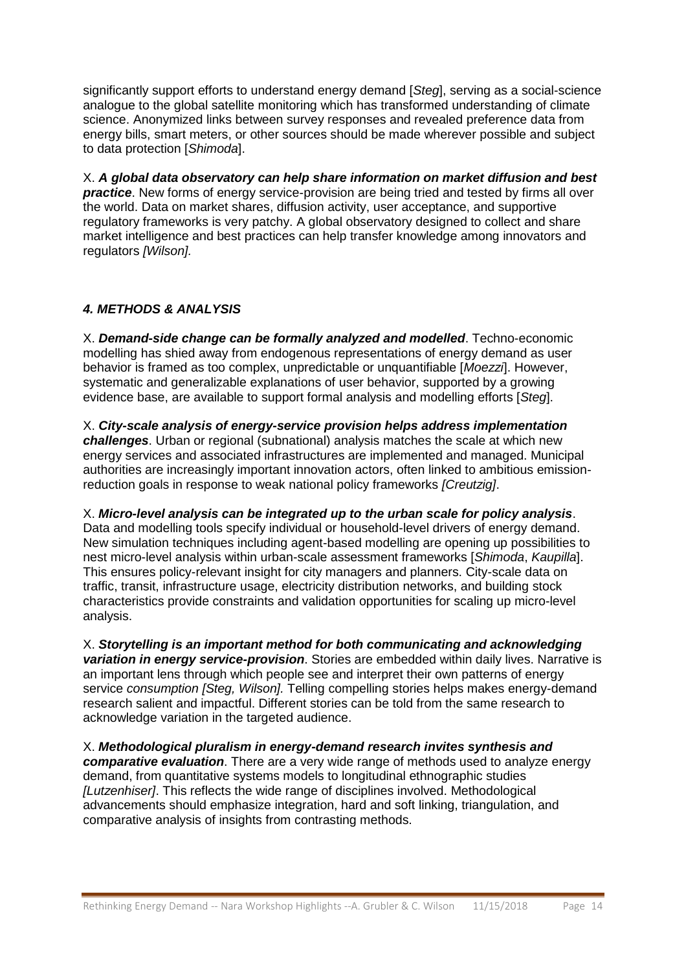significantly support efforts to understand energy demand [*Steg*], serving as a social-science analogue to the global satellite monitoring which has transformed understanding of climate science. Anonymized links between survey responses and revealed preference data from energy bills, smart meters, or other sources should be made wherever possible and subject to data protection [*Shimoda*].

X. *A global data observatory can help share information on market diffusion and best*  **practice**. New forms of energy service-provision are being tried and tested by firms all over the world. Data on market shares, diffusion activity, user acceptance, and supportive regulatory frameworks is very patchy. A global observatory designed to collect and share market intelligence and best practices can help transfer knowledge among innovators and regulators *[Wilson].*

### *4. METHODS & ANALYSIS*

X. *Demand-side change can be formally analyzed and modelled*. Techno-economic modelling has shied away from endogenous representations of energy demand as user behavior is framed as too complex, unpredictable or unquantifiable [*Moezzi*]. However, systematic and generalizable explanations of user behavior, supported by a growing evidence base, are available to support formal analysis and modelling efforts [*Steg*].

X. *City-scale analysis of energy-service provision helps address implementation challenges*. Urban or regional (subnational) analysis matches the scale at which new energy services and associated infrastructures are implemented and managed. Municipal authorities are increasingly important innovation actors, often linked to ambitious emissionreduction goals in response to weak national policy frameworks *[Creutzig]*.

X. *Micro-level analysis can be integrated up to the urban scale for policy analysis*. Data and modelling tools specify individual or household-level drivers of energy demand. New simulation techniques including agent-based modelling are opening up possibilities to nest micro-level analysis within urban-scale assessment frameworks [*Shimoda*, *Kaupilla*]. This ensures policy-relevant insight for city managers and planners. City-scale data on traffic, transit, infrastructure usage, electricity distribution networks, and building stock characteristics provide constraints and validation opportunities for scaling up micro-level analysis.

X. *Storytelling is an important method for both communicating and acknowledging variation in energy service-provision*. Stories are embedded within daily lives. Narrative is an important lens through which people see and interpret their own patterns of energy service *consumption [Steg, Wilson].* Telling compelling stories helps makes energy-demand research salient and impactful. Different stories can be told from the same research to acknowledge variation in the targeted audience.

X. *Methodological pluralism in energy-demand research invites synthesis and comparative evaluation*. There are a very wide range of methods used to analyze energy demand, from quantitative systems models to longitudinal ethnographic studies *[Lutzenhiser]*. This reflects the wide range of disciplines involved. Methodological advancements should emphasize integration, hard and soft linking, triangulation, and comparative analysis of insights from contrasting methods.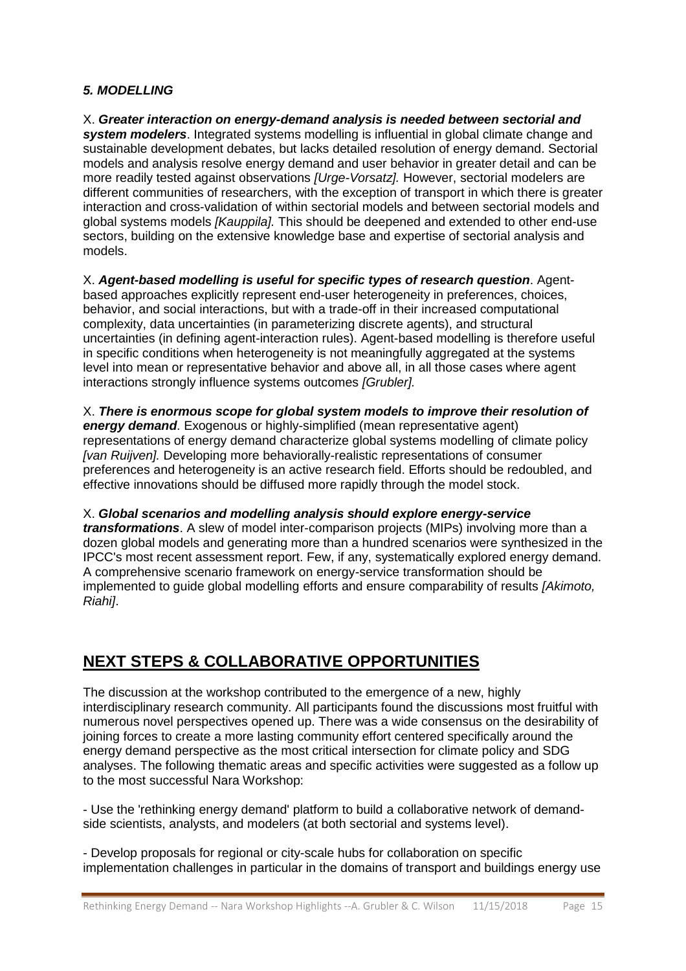### *5. MODELLING*

X. *Greater interaction on energy-demand analysis is needed between sectorial and system modelers*. Integrated systems modelling is influential in global climate change and sustainable development debates, but lacks detailed resolution of energy demand. Sectorial models and analysis resolve energy demand and user behavior in greater detail and can be more readily tested against observations *[Urge-Vorsatz].* However, sectorial modelers are different communities of researchers, with the exception of transport in which there is greater interaction and cross-validation of within sectorial models and between sectorial models and global systems models *[Kauppila].* This should be deepened and extended to other end-use sectors, building on the extensive knowledge base and expertise of sectorial analysis and models.

X. *Agent-based modelling is useful for specific types of research question*. Agentbased approaches explicitly represent end-user heterogeneity in preferences, choices, behavior, and social interactions, but with a trade-off in their increased computational complexity, data uncertainties (in parameterizing discrete agents), and structural uncertainties (in defining agent-interaction rules). Agent-based modelling is therefore useful in specific conditions when heterogeneity is not meaningfully aggregated at the systems level into mean or representative behavior and above all, in all those cases where agent interactions strongly influence systems outcomes *[Grubler].*

X. *There is enormous scope for global system models to improve their resolution of energy demand*. Exogenous or highly-simplified (mean representative agent) representations of energy demand characterize global systems modelling of climate policy *[van Ruijven].* Developing more behaviorally-realistic representations of consumer preferences and heterogeneity is an active research field. Efforts should be redoubled, and effective innovations should be diffused more rapidly through the model stock.

### X. *Global scenarios and modelling analysis should explore energy-service*

*transformations*. A slew of model inter-comparison projects (MIPs) involving more than a dozen global models and generating more than a hundred scenarios were synthesized in the IPCC's most recent assessment report. Few, if any, systematically explored energy demand. A comprehensive scenario framework on energy-service transformation should be implemented to guide global modelling efforts and ensure comparability of results *[Akimoto, Riahi]*.

## **NEXT STEPS & COLLABORATIVE OPPORTUNITIES**

The discussion at the workshop contributed to the emergence of a new, highly interdisciplinary research community. All participants found the discussions most fruitful with numerous novel perspectives opened up. There was a wide consensus on the desirability of joining forces to create a more lasting community effort centered specifically around the energy demand perspective as the most critical intersection for climate policy and SDG analyses. The following thematic areas and specific activities were suggested as a follow up to the most successful Nara Workshop:

- Use the 'rethinking energy demand' platform to build a collaborative network of demandside scientists, analysts, and modelers (at both sectorial and systems level).

- Develop proposals for regional or city-scale hubs for collaboration on specific implementation challenges in particular in the domains of transport and buildings energy use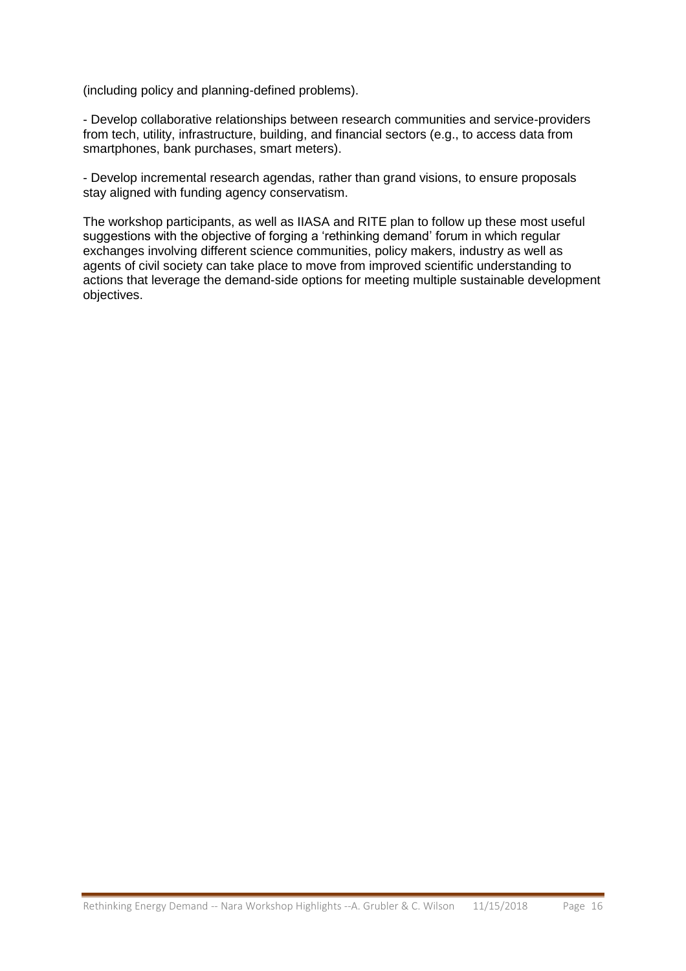(including policy and planning-defined problems).

- Develop collaborative relationships between research communities and service-providers from tech, utility, infrastructure, building, and financial sectors (e.g., to access data from smartphones, bank purchases, smart meters).

- Develop incremental research agendas, rather than grand visions, to ensure proposals stay aligned with funding agency conservatism.

The workshop participants, as well as IIASA and RITE plan to follow up these most useful suggestions with the objective of forging a 'rethinking demand' forum in which regular exchanges involving different science communities, policy makers, industry as well as agents of civil society can take place to move from improved scientific understanding to actions that leverage the demand-side options for meeting multiple sustainable development objectives.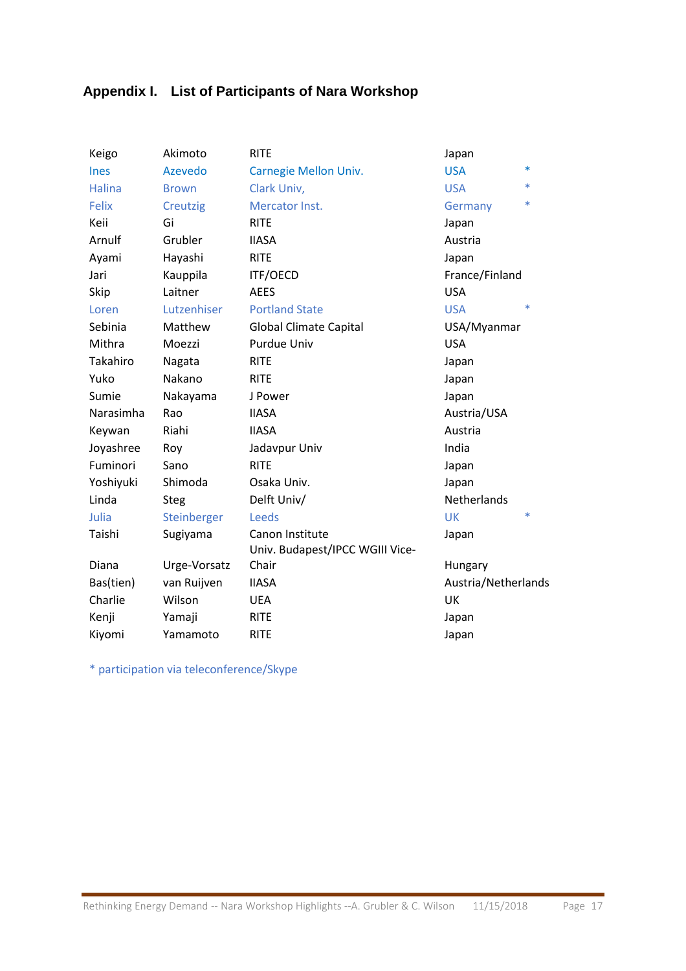## **Appendix I. List of Participants of Nara Workshop**

| Keigo         | Akimoto         | <b>RITE</b>                                        | Japan               |        |
|---------------|-----------------|----------------------------------------------------|---------------------|--------|
| <b>Ines</b>   | Azevedo         | Carnegie Mellon Univ.                              | <b>USA</b>          | $\ast$ |
| <b>Halina</b> | <b>Brown</b>    | Clark Univ,                                        | <b>USA</b>          | $\ast$ |
| <b>Felix</b>  | <b>Creutzig</b> | Mercator Inst.                                     | Germany             | $\ast$ |
| Keii          | Gi              | <b>RITE</b>                                        | Japan               |        |
| Arnulf        | Grubler         | <b>IIASA</b>                                       | Austria             |        |
| Ayami         | Hayashi         | <b>RITE</b>                                        | Japan               |        |
| Jari          | Kauppila        | <b>ITF/OECD</b>                                    | France/Finland      |        |
| Skip          | Laitner         | <b>AEES</b>                                        | <b>USA</b>          |        |
| Loren         | Lutzenhiser     | <b>Portland State</b>                              | <b>USA</b>          | $\ast$ |
| Sebinia       | Matthew         | <b>Global Climate Capital</b>                      | USA/Myanmar         |        |
| Mithra        | Moezzi          | <b>Purdue Univ</b>                                 | <b>USA</b>          |        |
| Takahiro      | Nagata          | <b>RITE</b>                                        | Japan               |        |
| Yuko          | Nakano          | <b>RITE</b>                                        | Japan               |        |
| Sumie         | Nakayama        | J Power                                            | Japan               |        |
| Narasimha     | Rao             | <b>IIASA</b>                                       | Austria/USA         |        |
| Keywan        | Riahi           | <b>IIASA</b>                                       | Austria             |        |
| Joyashree     | Roy             | Jadavpur Univ                                      | India               |        |
| Fuminori      | Sano            | <b>RITE</b>                                        | Japan               |        |
| Yoshiyuki     | Shimoda         | Osaka Univ.                                        | Japan               |        |
| Linda         | <b>Steg</b>     | Delft Univ/                                        | Netherlands         |        |
| Julia         | Steinberger     | Leeds                                              | <b>UK</b>           | $\ast$ |
| Taishi        | Sugiyama        | Canon Institute<br>Univ. Budapest/IPCC WGIII Vice- | Japan               |        |
| Diana         | Urge-Vorsatz    | Chair                                              | Hungary             |        |
| Bas(tien)     | van Ruijven     | <b>IIASA</b>                                       | Austria/Netherlands |        |
| Charlie       | Wilson          | <b>UEA</b>                                         | UK                  |        |
| Kenji         | Yamaji          | <b>RITE</b>                                        | Japan               |        |
| Kiyomi        | Yamamoto        | <b>RITE</b>                                        | Japan               |        |

\* participation via teleconference/Skype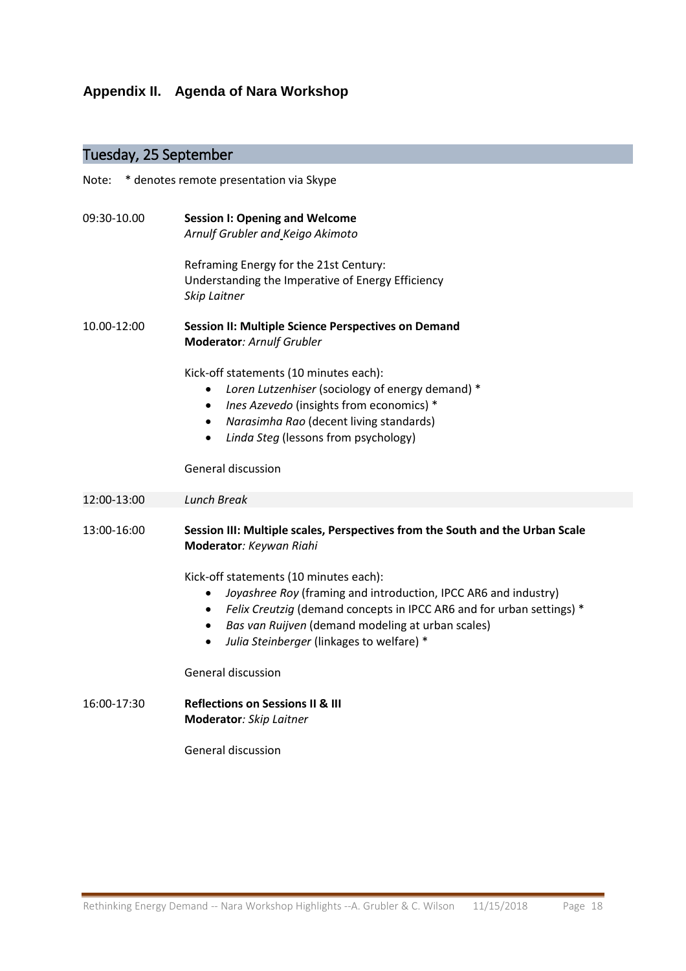## **Appendix II. Agenda of Nara Workshop**

## Tuesday, 25 September

| * denotes remote presentation via Skype<br>Note: |                                                                                                                                                                                                                                                                                                                                          |  |  |
|--------------------------------------------------|------------------------------------------------------------------------------------------------------------------------------------------------------------------------------------------------------------------------------------------------------------------------------------------------------------------------------------------|--|--|
| 09:30-10.00                                      | <b>Session I: Opening and Welcome</b><br>Arnulf Grubler and Keigo Akimoto                                                                                                                                                                                                                                                                |  |  |
|                                                  | Reframing Energy for the 21st Century:<br>Understanding the Imperative of Energy Efficiency<br>Skip Laitner                                                                                                                                                                                                                              |  |  |
| 10.00-12:00                                      | <b>Session II: Multiple Science Perspectives on Demand</b><br>Moderator: Arnulf Grubler                                                                                                                                                                                                                                                  |  |  |
|                                                  | Kick-off statements (10 minutes each):<br>Loren Lutzenhiser (sociology of energy demand) *<br>$\bullet$<br><i>Ines Azevedo</i> (insights from economics) *<br>$\bullet$<br>Narasimha Rao (decent living standards)<br>$\bullet$<br>Linda Steg (lessons from psychology)<br>$\bullet$                                                     |  |  |
|                                                  | General discussion                                                                                                                                                                                                                                                                                                                       |  |  |
| 12:00-13:00                                      | <b>Lunch Break</b>                                                                                                                                                                                                                                                                                                                       |  |  |
| 13:00-16:00                                      | Session III: Multiple scales, Perspectives from the South and the Urban Scale<br>Moderator: Keywan Riahi                                                                                                                                                                                                                                 |  |  |
|                                                  | Kick-off statements (10 minutes each):<br>Joyashree Roy (framing and introduction, IPCC AR6 and industry)<br>$\bullet$<br>Felix Creutzig (demand concepts in IPCC AR6 and for urban settings) *<br>$\bullet$<br>Bas van Ruijven (demand modeling at urban scales)<br>$\bullet$<br>Julia Steinberger (linkages to welfare) *<br>$\bullet$ |  |  |
|                                                  | General discussion                                                                                                                                                                                                                                                                                                                       |  |  |
| 16:00-17:30                                      | <b>Reflections on Sessions II &amp; III</b><br>Moderator: Skip Laitner                                                                                                                                                                                                                                                                   |  |  |
|                                                  | General discussion                                                                                                                                                                                                                                                                                                                       |  |  |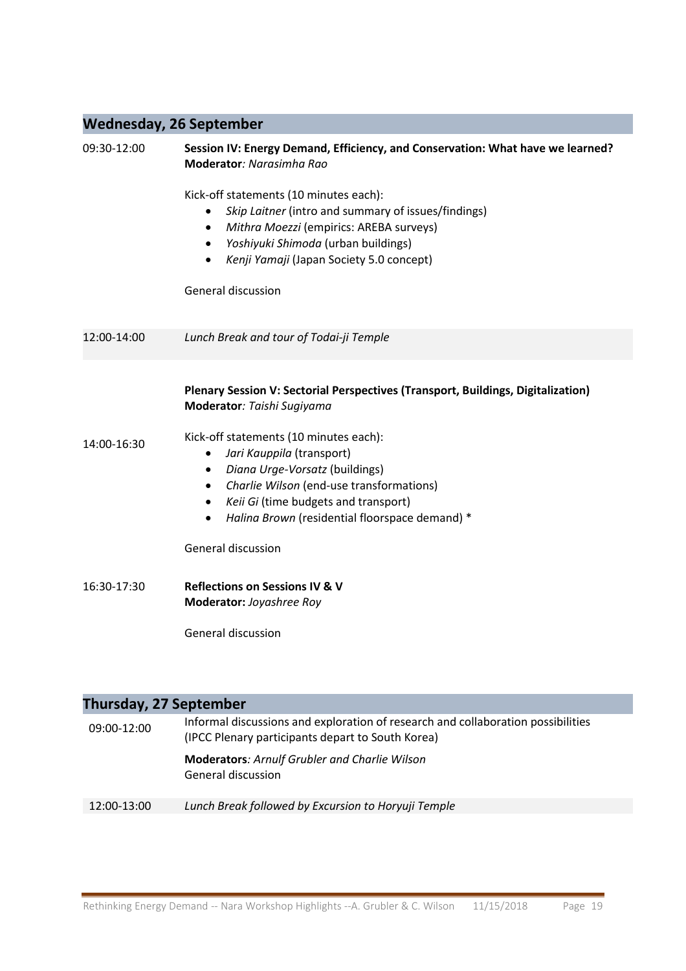## **Wednesday, 26 September**

| 09:30-12:00 | Session IV: Energy Demand, Efficiency, and Conservation: What have we learned?<br>Moderator: Narasimha Rao                                                                                                                                                                                      |  |  |  |
|-------------|-------------------------------------------------------------------------------------------------------------------------------------------------------------------------------------------------------------------------------------------------------------------------------------------------|--|--|--|
|             | Kick-off statements (10 minutes each):<br>Skip Laitner (intro and summary of issues/findings)<br>Mithra Moezzi (empirics: AREBA surveys)<br>Yoshiyuki Shimoda (urban buildings)<br>$\bullet$<br>Kenji Yamaji (Japan Society 5.0 concept)<br>$\bullet$                                           |  |  |  |
|             | General discussion                                                                                                                                                                                                                                                                              |  |  |  |
| 12:00-14:00 | Lunch Break and tour of Todai-ji Temple                                                                                                                                                                                                                                                         |  |  |  |
|             | Plenary Session V: Sectorial Perspectives (Transport, Buildings, Digitalization)<br>Moderator: Taishi Sugiyama                                                                                                                                                                                  |  |  |  |
| 14:00-16:30 | Kick-off statements (10 minutes each):<br>Jari Kauppila (transport)<br>$\bullet$<br>Diana Urge-Vorsatz (buildings)<br>Charlie Wilson (end-use transformations)<br>$\bullet$<br>Keii Gi (time budgets and transport)<br>$\bullet$<br>Halina Brown (residential floorspace demand) *<br>$\bullet$ |  |  |  |
|             | <b>General discussion</b>                                                                                                                                                                                                                                                                       |  |  |  |
| 16:30-17:30 | <b>Reflections on Sessions IV &amp; V</b><br>Moderator: Joyashree Roy                                                                                                                                                                                                                           |  |  |  |
|             | <b>General discussion</b>                                                                                                                                                                                                                                                                       |  |  |  |

| <b>Thursday, 27 September</b> |                                                                                                                                       |  |  |  |
|-------------------------------|---------------------------------------------------------------------------------------------------------------------------------------|--|--|--|
| 09:00-12:00                   | Informal discussions and exploration of research and collaboration possibilities<br>(IPCC Plenary participants depart to South Korea) |  |  |  |
|                               | <b>Moderators: Arnulf Grubler and Charlie Wilson</b><br>General discussion                                                            |  |  |  |
| 12:00-13:00                   | Lunch Break followed by Excursion to Horyuji Temple                                                                                   |  |  |  |
|                               |                                                                                                                                       |  |  |  |